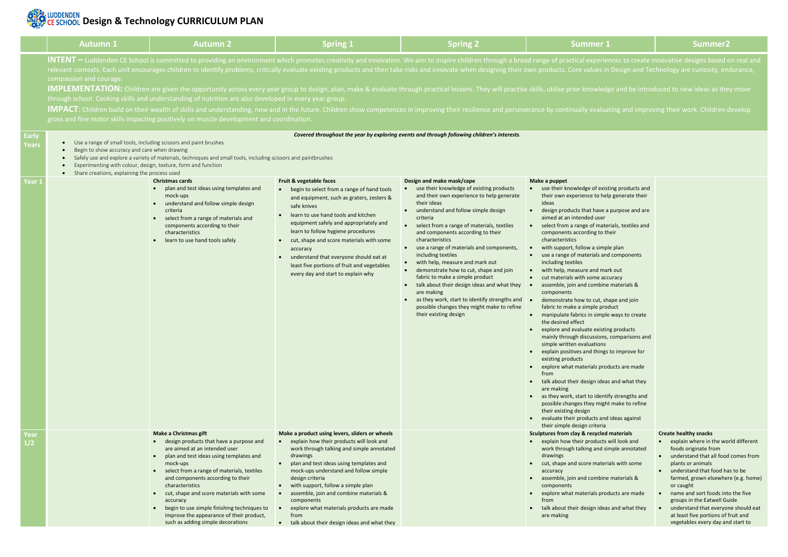# **DESIGNAL CONSTRUCTED BY CURRICULUM PLAN**

|                       | <b>Autumn 1</b>                                                                                                                                                                                                                                                                                                                                                                                                                                    | <b>Autumn 2</b>                                                                                                                                                                                                                                                                                                                                                                                                                                               | <b>Spring 1</b>                                                                                                                                                                                                                                                                                                                                                                                                                                                 | <b>Spring 2</b>                                                                                                                                                                                                                                                                                                                                                                                                                                                                                                                                                                                                                                                                 | <b>Summer 1</b>                                                                                                                                                                                                                                                                                                                                                                                                                                                                                                                                                                                                                                                                                                                                                                                                                                                                                                                                                                                                                                                                                                                                                                                                    | Summer <sub>2</sub>                                                                                                                                                                                                                                                                                                                             |  |  |
|-----------------------|----------------------------------------------------------------------------------------------------------------------------------------------------------------------------------------------------------------------------------------------------------------------------------------------------------------------------------------------------------------------------------------------------------------------------------------------------|---------------------------------------------------------------------------------------------------------------------------------------------------------------------------------------------------------------------------------------------------------------------------------------------------------------------------------------------------------------------------------------------------------------------------------------------------------------|-----------------------------------------------------------------------------------------------------------------------------------------------------------------------------------------------------------------------------------------------------------------------------------------------------------------------------------------------------------------------------------------------------------------------------------------------------------------|---------------------------------------------------------------------------------------------------------------------------------------------------------------------------------------------------------------------------------------------------------------------------------------------------------------------------------------------------------------------------------------------------------------------------------------------------------------------------------------------------------------------------------------------------------------------------------------------------------------------------------------------------------------------------------|--------------------------------------------------------------------------------------------------------------------------------------------------------------------------------------------------------------------------------------------------------------------------------------------------------------------------------------------------------------------------------------------------------------------------------------------------------------------------------------------------------------------------------------------------------------------------------------------------------------------------------------------------------------------------------------------------------------------------------------------------------------------------------------------------------------------------------------------------------------------------------------------------------------------------------------------------------------------------------------------------------------------------------------------------------------------------------------------------------------------------------------------------------------------------------------------------------------------|-------------------------------------------------------------------------------------------------------------------------------------------------------------------------------------------------------------------------------------------------------------------------------------------------------------------------------------------------|--|--|
|                       | compassion and courage.                                                                                                                                                                                                                                                                                                                                                                                                                            | through school. Cooking skills and understanding of nutrition are also developed in every year group.<br>gross and fine motor skills impacting positively on muscle development and coordination.                                                                                                                                                                                                                                                             |                                                                                                                                                                                                                                                                                                                                                                                                                                                                 |                                                                                                                                                                                                                                                                                                                                                                                                                                                                                                                                                                                                                                                                                 | INTENT – Luddenden CE School is committed to providing an environment which promotes creativity and innovation. We aim to inspire children through a broad range of practical experiences to create innovative designs based c<br>relevant contexts. Each unit encourages children to identify problems, critically evaluate existing products and then take risks and innovate when designing their own products. Core values in Design and Technology are curi<br><b>IMPLEMENTATION:</b> Children are given the opportunity across every year group to design, plan, make & evaluate through practical lessons. They will practise skills, utilise prior knowledge and be introduced to new ideas as<br><b>IMPACT</b> : Children build on their wealth of skills and understanding, now and in the future. Children show competences in improving their resilience and perseverance by continually evaluating and improving their work. Chil                                                                                                                                                                                                                                                                     |                                                                                                                                                                                                                                                                                                                                                 |  |  |
| <b>Early</b><br>Years | Covered throughout the year by exploring events and through following children's interests.<br>Use a range of small tools, including scissors and paint brushes<br>Begin to show accuracy and care when drawing<br>Safely use and explore a variety of materials, techniques and small tools, including scissors and paintbrushes<br>Experimenting with colour, design, texture, form and function<br>Share creations, explaining the process used |                                                                                                                                                                                                                                                                                                                                                                                                                                                               |                                                                                                                                                                                                                                                                                                                                                                                                                                                                 |                                                                                                                                                                                                                                                                                                                                                                                                                                                                                                                                                                                                                                                                                 |                                                                                                                                                                                                                                                                                                                                                                                                                                                                                                                                                                                                                                                                                                                                                                                                                                                                                                                                                                                                                                                                                                                                                                                                                    |                                                                                                                                                                                                                                                                                                                                                 |  |  |
| Year 1                |                                                                                                                                                                                                                                                                                                                                                                                                                                                    | <b>Christmas cards</b><br>plan and test ideas using templates and<br>mock-ups<br>understand and follow simple design<br>criteria<br>select from a range of materials and<br>components according to their<br>characteristics<br>learn to use hand tools safely                                                                                                                                                                                                | Fruit & vegetable faces<br>begin to select from a range of hand tools<br>and equipment, such as graters, zesters &<br>safe knives<br>learn to use hand tools and kitchen<br>equipment safely and appropriately and<br>learn to follow hygiene procedures<br>cut, shape and score materials with some<br>$\bullet$<br>accuracy<br>understand that everyone should eat at<br>least five portions of fruit and vegetables<br>every day and start to explain why    | Design and make mask/cape<br>use their knowledge of existing products<br>and their own experience to help generate<br>their ideas<br>understand and follow simple design<br>criteria<br>select from a range of materials, textiles<br>and components according to their<br>characteristics<br>• use a range of materials and components,<br>including textiles<br>with help, measure and mark out<br>demonstrate how to cut, shape and join<br>fabric to make a simple product<br>• talk about their design ideas and what they<br>are making<br>as they work, start to identify strengths and $\bullet$<br>possible changes they might make to refine<br>their existing design | Make a puppet<br>use their knowledge of existing products and<br>their own experience to help generate their<br>ideas<br>design products that have a purpose and are<br>aimed at an intended user<br>• select from a range of materials, textiles and<br>components according to their<br>characteristics<br>with support, follow a simple plan<br>use a range of materials and components<br>including textiles<br>with help, measure and mark out<br>cut materials with some accuracy<br>assemble, join and combine materials &<br>components<br>demonstrate how to cut, shape and join<br>fabric to make a simple product<br>manipulate fabrics in simple ways to create<br>the desired effect<br>explore and evaluate existing products<br>mainly through discussions, comparisons and<br>simple written evaluations<br>explain positives and things to improve for<br>existing products<br>explore what materials products are made<br>from<br>talk about their design ideas and what they<br>are making<br>as they work, start to identify strengths and<br>possible changes they might make to refine<br>their existing design<br>evaluate their products and ideas against<br>their simple design criteria |                                                                                                                                                                                                                                                                                                                                                 |  |  |
| Year<br>1/2           |                                                                                                                                                                                                                                                                                                                                                                                                                                                    | <b>Make a Christmas gift</b><br>design products that have a purpose and<br>are aimed at an intended user<br>plan and test ideas using templates and<br>mock-ups<br>select from a range of materials, textiles<br>and components according to their<br>characteristics<br>cut, shape and score materials with some<br>accuracy<br>begin to use simple finishing techniques to<br>improve the appearance of their product,<br>such as adding simple decorations | Make a product using levers, sliders or wheels<br>• explain how their products will look and<br>work through talking and simple annotated<br>drawings<br>plan and test ideas using templates and<br>mock-ups understand and follow simple<br>design criteria<br>with support, follow a simple plan<br>assemble, join and combine materials &<br>components<br>explore what materials products are made<br>from<br>• talk about their design ideas and what they |                                                                                                                                                                                                                                                                                                                                                                                                                                                                                                                                                                                                                                                                                 | Sculptures from clay & recycled materials<br>explain how their products will look and<br>work through talking and simple annotated<br>drawings<br>cut, shape and score materials with some<br>accuracy<br>assemble, join and combine materials &<br>components<br>explore what materials products are made<br>from<br>talk about their design ideas and what they<br>are making                                                                                                                                                                                                                                                                                                                                                                                                                                                                                                                                                                                                                                                                                                                                                                                                                                    | <b>Create healthy snacks</b><br>explain where in the wo<br>foods originate from<br>understand that all food<br>plants or animals<br>understand that food ha<br>farmed, grown elsewher<br>or caught<br>name and sort foods into<br>groups in the Eatwell Gu<br>understand that everyor<br>at least five portions of f<br>vegetables every day an |  |  |

ces to create innovative designs based on real and Design and Technology are curiosity, endurance,

### ting products and p generate their purpose and are rials, textiles and heir le plan components rk out curacy e materials & ape and join duct e ways to create ng products comparisons and to improve for ducts are made s and what they fy strengths and t make to refine l ideas against **materials** will look and mple annotated ials with some e materials & ducts are made and what they **Create healthy snacks** • explain where in the world different foods originate from • understand that all food comes from plants or animals • understand that food has to be farmed, grown elsewhere (e.g. home) or caught • name and sort foods into the five groups in the Eatwell Guide • understand that everyone should eat at least five portions of fruit and vegetables every day and start to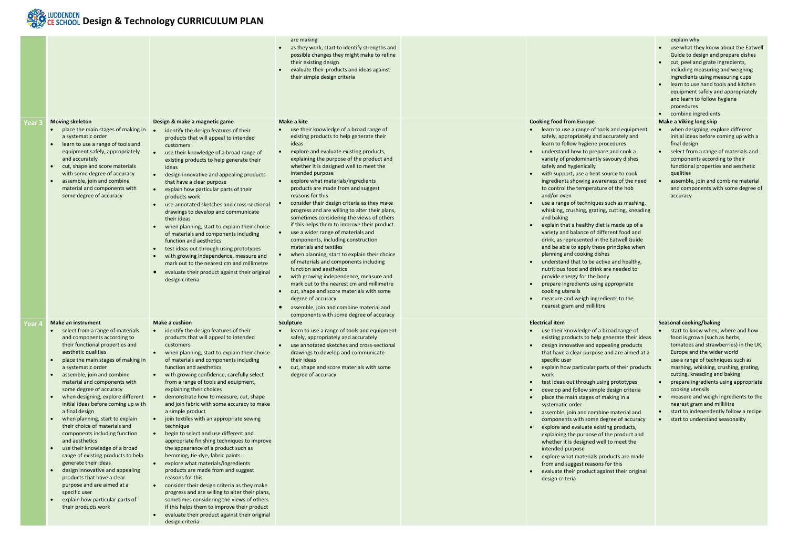## **DESIGNAL CONSTRUCTED BY CURRICULUM PLAN**

|                   |                                                                                                                                                                                                                                                                                                                                                                                                                                                                                                                                                                                                                                                                                                                                                                                               |                                                                                                                                                                                                                                                                                                                                                                                                                                                                                                                                                                                                                                                                                                                                                                                                                                                                                                                                                                                                                                                                                                                                                        | are making<br>as they work, start to identify strengths and<br>possible changes they might make to refine<br>their existing design<br>evaluate their products and ideas against<br>their simple design criteria                                                                                                                                                                                                                                                                                                                                                                                                                                                                                                                                                                                                                                                                                                                                                                                                             |                                                                                                                                                                                                                                                                                                                                                                                                                                                                                                                                                                                                                                                                                                                                                                                                                                                                                                                                                                                                     | explain why<br>• use what they know about the Eatwell<br>Guide to design and prepare dishes<br>• cut, peel and grate ingredients,<br>including measuring and weighing<br>ingredients using measuring cups<br>learn to use hand tools and kitchen<br>equipment safely and appropriately<br>and learn to follow hygiene<br>procedures<br>• combine ingredients                                                                                                                         |
|-------------------|-----------------------------------------------------------------------------------------------------------------------------------------------------------------------------------------------------------------------------------------------------------------------------------------------------------------------------------------------------------------------------------------------------------------------------------------------------------------------------------------------------------------------------------------------------------------------------------------------------------------------------------------------------------------------------------------------------------------------------------------------------------------------------------------------|--------------------------------------------------------------------------------------------------------------------------------------------------------------------------------------------------------------------------------------------------------------------------------------------------------------------------------------------------------------------------------------------------------------------------------------------------------------------------------------------------------------------------------------------------------------------------------------------------------------------------------------------------------------------------------------------------------------------------------------------------------------------------------------------------------------------------------------------------------------------------------------------------------------------------------------------------------------------------------------------------------------------------------------------------------------------------------------------------------------------------------------------------------|-----------------------------------------------------------------------------------------------------------------------------------------------------------------------------------------------------------------------------------------------------------------------------------------------------------------------------------------------------------------------------------------------------------------------------------------------------------------------------------------------------------------------------------------------------------------------------------------------------------------------------------------------------------------------------------------------------------------------------------------------------------------------------------------------------------------------------------------------------------------------------------------------------------------------------------------------------------------------------------------------------------------------------|-----------------------------------------------------------------------------------------------------------------------------------------------------------------------------------------------------------------------------------------------------------------------------------------------------------------------------------------------------------------------------------------------------------------------------------------------------------------------------------------------------------------------------------------------------------------------------------------------------------------------------------------------------------------------------------------------------------------------------------------------------------------------------------------------------------------------------------------------------------------------------------------------------------------------------------------------------------------------------------------------------|--------------------------------------------------------------------------------------------------------------------------------------------------------------------------------------------------------------------------------------------------------------------------------------------------------------------------------------------------------------------------------------------------------------------------------------------------------------------------------------|
| Year <sub>3</sub> | <b>Moving skeleton</b>                                                                                                                                                                                                                                                                                                                                                                                                                                                                                                                                                                                                                                                                                                                                                                        | Design & make a magnetic game                                                                                                                                                                                                                                                                                                                                                                                                                                                                                                                                                                                                                                                                                                                                                                                                                                                                                                                                                                                                                                                                                                                          | Make a kite                                                                                                                                                                                                                                                                                                                                                                                                                                                                                                                                                                                                                                                                                                                                                                                                                                                                                                                                                                                                                 | <b>Cooking food from Europe</b>                                                                                                                                                                                                                                                                                                                                                                                                                                                                                                                                                                                                                                                                                                                                                                                                                                                                                                                                                                     | <b>Make a Viking long ship</b>                                                                                                                                                                                                                                                                                                                                                                                                                                                       |
|                   | • place the main stages of making in<br>a systematic order<br>• learn to use a range of tools and<br>equipment safely, appropriately<br>and accurately<br>• cut, shape and score materials<br>with some degree of accuracy<br>assemble, join and combine<br>$\bullet$<br>material and components with<br>some degree of accuracy                                                                                                                                                                                                                                                                                                                                                                                                                                                              | identify the design features of their<br>products that will appeal to intended<br>customers<br>use their knowledge of a broad range of<br>existing products to help generate their<br>ideas<br>design innovative and appealing products<br>that have a clear purpose<br>explain how particular parts of their<br>products work<br>use annotated sketches and cross-sectional<br>drawings to develop and communicate<br>their ideas<br>when planning, start to explain their choice<br>$\bullet$<br>of materials and components including<br>function and aesthetics<br>test ideas out through using prototypes<br>with growing independence, measure and<br>$\bullet$<br>mark out to the nearest cm and millimetre<br>evaluate their product against their original<br>$\bullet$<br>design criteria                                                                                                                                                                                                                                                                                                                                                    | • use their knowledge of a broad range of<br>existing products to help generate their<br>ideas<br>explore and evaluate existing products,<br>explaining the purpose of the product and<br>whether it is designed well to meet the<br>intended purpose<br>explore what materials/ingredients<br>products are made from and suggest<br>reasons for this<br>consider their design criteria as they make<br>progress and are willing to alter their plans,<br>sometimes considering the views of others<br>if this helps them to improve their product<br>use a wider range of materials and<br>components, including construction<br>materials and textiles<br>when planning, start to explain their choice<br>of materials and components including<br>function and aesthetics<br>with growing independence, measure and<br>mark out to the nearest cm and millimetre<br>cut, shape and score materials with some<br>degree of accuracy<br>assemble, join and combine material and<br>components with some degree of accuracy | • learn to use a range of tools and equipment<br>safely, appropriately and accurately and<br>learn to follow hygiene procedures<br>• understand how to prepare and cook a<br>variety of predominantly savoury dishes<br>safely and hygienically<br>with support, use a heat source to cook<br>ingredients showing awareness of the need<br>to control the temperature of the hob<br>and/or oven<br>• use a range of techniques such as mashing,<br>whisking, crushing, grating, cutting, kneading<br>and baking<br>explain that a healthy diet is made up of a<br>variety and balance of different food and<br>drink, as represented in the Eatwell Guide<br>and be able to apply these principles when<br>planning and cooking dishes<br>understand that to be active and healthy,<br>nutritious food and drink are needed to<br>provide energy for the body<br>prepare ingredients using appropriate<br>cooking utensils<br>• measure and weigh ingredients to the<br>nearest gram and millilitre | when designing, explore different<br>initial ideas before coming up with a<br>final design<br>• select from a range of materials and<br>components according to their<br>functional properties and aesthetic<br>qualities<br>assemble, join and combine material<br>and components with some degree of<br>accuracy                                                                                                                                                                   |
| Year 4            | Make an instrument                                                                                                                                                                                                                                                                                                                                                                                                                                                                                                                                                                                                                                                                                                                                                                            | Make a cushion                                                                                                                                                                                                                                                                                                                                                                                                                                                                                                                                                                                                                                                                                                                                                                                                                                                                                                                                                                                                                                                                                                                                         | <b>Sculpture</b>                                                                                                                                                                                                                                                                                                                                                                                                                                                                                                                                                                                                                                                                                                                                                                                                                                                                                                                                                                                                            | <b>Electrical item</b>                                                                                                                                                                                                                                                                                                                                                                                                                                                                                                                                                                                                                                                                                                                                                                                                                                                                                                                                                                              | <b>Seasonal cooking/baking</b>                                                                                                                                                                                                                                                                                                                                                                                                                                                       |
|                   | and components according to<br>their functional properties and<br>aesthetic qualities<br>place the main stages of making in<br>$\bullet$<br>a systematic order<br>assemble, join and combine<br>$\bullet$<br>material and components with<br>some degree of accuracy<br>when designing, explore different<br>initial ideas before coming up with<br>a final design<br>when planning, start to explain<br>their choice of materials and<br>components including function<br>and aesthetics<br>use their knowledge of a broad<br>$\bullet$<br>range of existing products to help<br>generate their ideas<br>design innovative and appealing<br>$\bullet$<br>products that have a clear<br>purpose and are aimed at a<br>specific user<br>explain how particular parts of<br>their products work | select from a range of materials $\bullet$ identify the design features of their<br>products that will appeal to intended<br>customers<br>when planning, start to explain their choice<br>$\bullet$<br>of materials and components including<br>function and aesthetics<br>with growing confidence, carefully select<br>$\bullet$<br>from a range of tools and equipment,<br>explaining their choices<br>demonstrate how to measure, cut, shape<br>and join fabric with some accuracy to make<br>a simple product<br>join textiles with an appropriate sewing<br>$\bullet$<br>technique<br>begin to select and use different and<br>$\bullet$<br>appropriate finishing techniques to improve<br>the appearance of a product such as<br>hemming, tie-dye, fabric paints<br>• explore what materials/ingredients<br>products are made from and suggest<br>reasons for this<br>consider their design criteria as they make<br>progress and are willing to alter their plans,<br>sometimes considering the views of others<br>if this helps them to improve their product<br>evaluate their product against their original<br>$\bullet$<br>design criteria | learn to use a range of tools and equipment<br>safely, appropriately and accurately<br>use annotated sketches and cross-sectional<br>drawings to develop and communicate<br>their ideas<br>cut, shape and score materials with some<br>degree of accuracy                                                                                                                                                                                                                                                                                                                                                                                                                                                                                                                                                                                                                                                                                                                                                                   | • use their knowledge of a broad range of<br>existing products to help generate their ideas<br>• design innovative and appealing products<br>that have a clear purpose and are aimed at a<br>specific user<br>explain how particular parts of their products<br>work<br>test ideas out through using prototypes<br>$\bullet$<br>develop and follow simple design criteria<br>place the main stages of making in a<br>systematic order<br>• assemble, join and combine material and<br>components with some degree of accuracy<br>• explore and evaluate existing products,<br>explaining the purpose of the product and<br>whether it is designed well to meet the<br>intended purpose<br>• explore what materials products are made<br>from and suggest reasons for this<br>• evaluate their product against their original<br>design criteria                                                                                                                                                     | • start to know when, where and how<br>food is grown (such as herbs,<br>tomatoes and strawberries) in the UK,<br>Europe and the wider world<br>• use a range of techniques such as<br>mashing, whisking, crushing, grating,<br>cutting, kneading and baking<br>• prepare ingredients using appropriate<br>cooking utensils<br>• measure and weigh ingredients to the<br>nearest gram and millilitre<br>• start to independently follow a recipe<br>• start to understand seasonality |